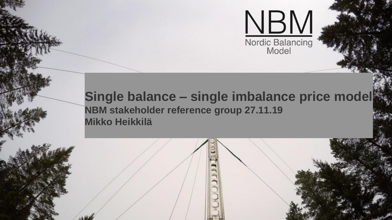

### **Single balance – single imbalance price model NBM stakeholder reference group 27.11.19 Mikko Heikkilä**

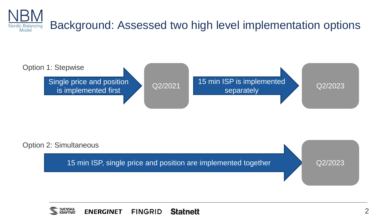





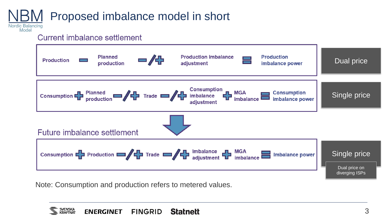#### Proposed imbalance model in short**Nordic Balancing**

Current imbalance settlement

Model



Note: Consumption and production refers to metered values.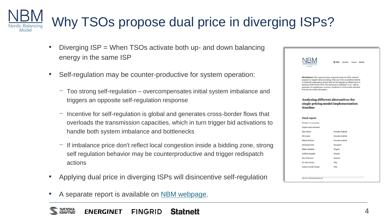# Why TSOs propose dual price in diverging ISPs?

- Diverging ISP = When TSOs activate both up- and down balancing energy in the same ISP
- Self-regulation may be counter-productive for system operation:
	- − Too strong self-regulation overcompensates initial system imbalance and triggers an opposite self-regulation response
	- − Incentive for self-regulation is global and generates cross-border flows that overloads the transmission capacities, which in turn trigger bid activations to handle both system imbalance and bottlenecks
	- − If imbalance price don't reflect local congestion inside a bidding zone, strong self regulation behavior may be counterproductive and trigger redispatch actions
- Applying dual price in diverging ISPs will disincentive self-regulation
- A separate report is available on [NBM webpage.](http://nordicbalancingmodel.net/wp-content/uploads/2019/10/Single-pricing-model-timeline-report-clean-190910-For-publication.pdf)

| Model                                                                                                                                                                                                                                                                                                                                                                                                                                   | SACASKA T<br><b>ENERGINET</b> | <b>FINGRID</b><br><b>Statnett</b> |
|-----------------------------------------------------------------------------------------------------------------------------------------------------------------------------------------------------------------------------------------------------------------------------------------------------------------------------------------------------------------------------------------------------------------------------------------|-------------------------------|-----------------------------------|
| <b>Disclaimer:</b> This report has been prepared mainly for TSOs' internal<br>purposes to support decision making. Thus any views or positions directly<br>or indirectly expressed in the text shall not be regarded as official views or<br>opinions of the Nordic TSOs. The document is published "as is", with no<br>guarantee of completeness, accuracy, timeliness or of the results obtained<br>from the use of this information. |                               |                                   |
| Analysing different alternatives for<br>single pricing model implementation<br>timeline                                                                                                                                                                                                                                                                                                                                                 |                               |                                   |
|                                                                                                                                                                                                                                                                                                                                                                                                                                         |                               |                                   |
|                                                                                                                                                                                                                                                                                                                                                                                                                                         |                               |                                   |
|                                                                                                                                                                                                                                                                                                                                                                                                                                         |                               |                                   |
|                                                                                                                                                                                                                                                                                                                                                                                                                                         |                               |                                   |
| <b>Final report</b><br>Version 1.0 10.9.2019<br>Project team members<br>Mats Elmer                                                                                                                                                                                                                                                                                                                                                      | Svenska kraftnät              |                                   |
| Pär Lyden                                                                                                                                                                                                                                                                                                                                                                                                                               | Svenska kraftnät              |                                   |
| Mikael Kröckel                                                                                                                                                                                                                                                                                                                                                                                                                          | Svenska kraftnät              |                                   |
| <b>Henning Parbo</b>                                                                                                                                                                                                                                                                                                                                                                                                                    | Energinet                     |                                   |
| Mikko Heikkilä                                                                                                                                                                                                                                                                                                                                                                                                                          | Fingrid                       |                                   |
|                                                                                                                                                                                                                                                                                                                                                                                                                                         | Fingrid                       |                                   |
| Eveliina Seppälä<br><b>Finn Pettersen</b>                                                                                                                                                                                                                                                                                                                                                                                               | <b>Statnett</b>               |                                   |
| Per Otto Garsjo                                                                                                                                                                                                                                                                                                                                                                                                                         | Fifty                         |                                   |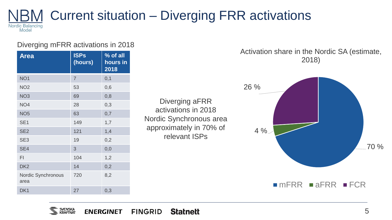### Current situation – Diverging FRR activations Nordic Balancing<br>Model

#### Diverging mFRR activations in 2018

| <b>Area</b>                       | <b>ISPs</b><br>(hours) | % of all<br>hours in<br>2018 |
|-----------------------------------|------------------------|------------------------------|
| NO <sub>1</sub>                   | $\overline{7}$         | 0,1                          |
| NO <sub>2</sub>                   | 53                     | 0,6                          |
| NO <sub>3</sub>                   | 69                     | 0,8                          |
| NO <sub>4</sub>                   | 28                     | 0,3                          |
| NO <sub>5</sub>                   | 63                     | 0,7                          |
| SE <sub>1</sub>                   | 149                    | 1,7                          |
| SE <sub>2</sub>                   | 121                    | 1,4                          |
| SE <sub>3</sub>                   | 19                     | 0,2                          |
| SE <sub>4</sub>                   | 3                      | 0,0                          |
| FI                                | 104                    | 1,2                          |
| DK <sub>2</sub>                   | 14                     | 0,2                          |
| <b>Nordic Synchronous</b><br>area | 720                    | 8,2                          |
| DK <sub>1</sub>                   | 27                     | 0,3                          |

Diverging aFRR activations in 2018 Nordic Synchronous area approximately in 70% of relevant ISPs

Activation share in the Nordic SA (estimate, 2018)

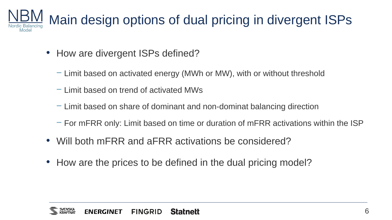

- How are divergent ISPs defined?
	- − Limit based on activated energy (MWh or MW), with or without threshold
	- − Limit based on trend of activated MWs
	- − Limit based on share of dominant and non-dominat balancing direction
	- − For mFRR only: Limit based on time or duration of mFRR activations within the ISP
- Will both mFRR and aFRR activations be considered?
- How are the prices to be defined in the dual pricing model?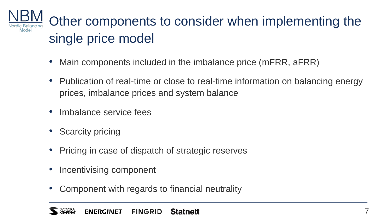

- Main components included in the imbalance price (mFRR, aFRR)
- Publication of real-time or close to real-time information on balancing energy prices, imbalance prices and system balance
- Imbalance service fees
- Scarcity pricing
- Pricing in case of dispatch of strategic reserves
- Incentivising component
- Component with regards to financial neutrality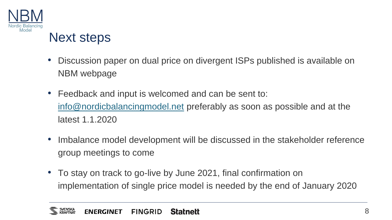

## Next steps

- Discussion paper on dual price on divergent ISPs published is available on NBM webpage
- Feedback and input is welcomed and can be sent to: [info@nordicbalancingmodel.net](mailto:info@nordicbalancingmodel.net) preferably as soon as possible and at the latest 1.1.2020
- Imbalance model development will be discussed in the stakeholder reference group meetings to come
- To stay on track to go-live by June 2021, final confirmation on implementation of single price model is needed by the end of January 2020